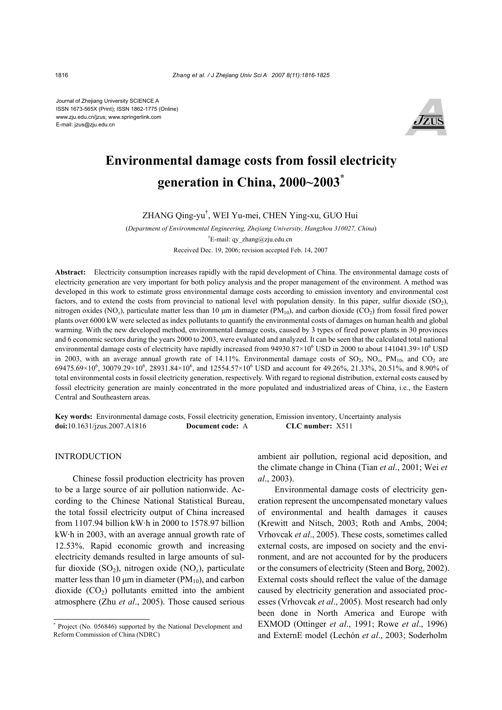Journal of Zhejiang University SCIENCE A ISSN 1673-565X (Print); ISSN 1862-1775 (Online) www.zju.edu.cn/jzus; www.springerlink.com E-mail: jzus@zju.edu.cn



# **Environmental damage costs from fossil electricity generation in China, 2000~2003\***

# ZHANG Qing-yu† , WEI Yu-mei, CHEN Ying-xu, GUO Hui

(*Department of Environmental Engineering, Zhejiang University, Hangzhou 310027, China*) † E-mail: qy\_zhang@zju.edu.cn Received Dec. 19, 2006; revision accepted Feb. 14, 2007

**Abstract:** Electricity consumption increases rapidly with the rapid development of China. The environmental damage costs of electricity generation are very important for both policy analysis and the proper management of the environment. A method was developed in this work to estimate gross environmental damage costs according to emission inventory and environmental cost factors, and to extend the costs from provincial to national level with population density. In this paper, sulfur dioxide (SO<sub>2</sub>), nitrogen oxides (NO<sub>x</sub>), particulate matter less than 10  $\mu$ m in diameter (PM<sub>10</sub>), and carbon dioxide (CO<sub>2</sub>) from fossil fired power plants over 6000 kW were selected as index pollutants to quantify the environmental costs of damages on human health and global warming. With the new developed method, environmental damage costs, caused by 3 types of fired power plants in 30 provinces and 6 economic sectors during the years 2000 to 2003, were evaluated and analyzed. It can be seen that the calculated total national environmental damage costs of electricity have rapidly increased from  $94930.87 \times 10^6$  USD in 2000 to about 141041.39×10<sup>6</sup> USD in 2003, with an average annual growth rate of  $14.11\%$ . Environmental damage costs of SO<sub>2</sub>, NO<sub>x</sub>, PM<sub>10</sub>, and CO<sub>2</sub> are  $69475.69\times10^6$ ,  $30079.29\times10^6$ ,  $28931.84\times10^6$ , and  $12554.57\times10^6$  USD and account for 49.26%, 21.33%, 20.51%, and 8.90% of total environmental costs in fossil electricity generation, respectively. With regard to regional distribution, external costs caused by fossil electricity generation are mainly concentrated in the more populated and industrialized areas of China, i.e., the Eastern Central and Southeastern areas.

**Key words:** Environmental damage costs, Fossil electricity generation, Emission inventory, Uncertainty analysis **doi:**10.1631/jzus.2007.A1816 **Document code:** A **CLC number:** X511

## INTRODUCTION

Chinese fossil production electricity has proven to be a large source of air pollution nationwide. According to the Chinese National Statistical Bureau, the total fossil electricity output of China increased from 1107.94 billion kW·h in 2000 to 1578.97 billion kW·h in 2003, with an average annual growth rate of 12.53%. Rapid economic growth and increasing electricity demands resulted in large amounts of sulfur dioxide  $(SO_2)$ , nitrogen oxide  $(NO_x)$ , particulate matter less than 10  $\mu$ m in diameter (PM<sub>10</sub>), and carbon dioxide  $(CO_2)$  pollutants emitted into the ambient atmosphere (Zhu *et al*., 2005). Those caused serious

ambient air pollution, regional acid deposition, and the climate change in China (Tian *et al*., 2001; Wei *et al*., 2003).

Environmental damage costs of electricity generation represent the uncompensated monetary values of environmental and health damages it causes (Krewitt and Nitsch, 2003; Roth and Ambs, 2004; Vrhovcak *et al*., 2005). These costs, sometimes called external costs, are imposed on society and the environment, and are not accounted for by the producers or the consumers of electricity (Steen and Borg, 2002). External costs should reflect the value of the damage caused by electricity generation and associated processes (Vrhovcak *et al*., 2005). Most research had only been done in North America and Europe with EXMOD (Ottinger *et al*., 1991; Rowe *et al*., 1996) and ExternE model (Lechón *et al*., 2003; Soderholm

<sup>\*</sup> Project (No. 056846) supported by the National Development and Reform Commission of China (NDRC)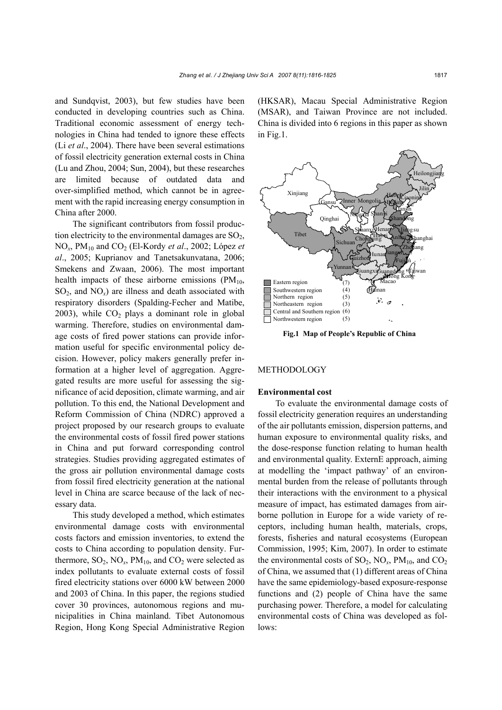and Sundqvist, 2003), but few studies have been conducted in developing countries such as China. Traditional economic assessment of energy technologies in China had tended to ignore these effects (Li *et al*., 2004). There have been several estimations of fossil electricity generation external costs in China (Lu and Zhou, 2004; Sun, 2004), but these researches are limited because of outdated data and over-simplified method, which cannot be in agreement with the rapid increasing energy consumption in China after 2000.

The significant contributors from fossil production electricity to the environmental damages are  $SO<sub>2</sub>$ , NO*x*, PM10 and CO2 (El-Kordy *et al*., 2002; López *et al*., 2005; Kuprianov and Tanetsakunvatana, 2006; Smekens and Zwaan, 2006). The most important health impacts of these airborne emissions  $(PM_{10}$ ,  $SO<sub>2</sub>$ , and  $NO<sub>x</sub>$ ) are illness and death associated with respiratory disorders (Spalding-Fecher and Matibe, 2003), while  $CO<sub>2</sub>$  plays a dominant role in global warming. Therefore, studies on environmental damage costs of fired power stations can provide information useful for specific environmental policy decision. However, policy makers generally prefer information at a higher level of aggregation. Aggregated results are more useful for assessing the significance of acid deposition, climate warming, and air pollution. To this end, the National Development and Reform Commission of China (NDRC) approved a project proposed by our research groups to evaluate the environmental costs of fossil fired power stations in China and put forward corresponding control strategies. Studies providing aggregated estimates of the gross air pollution environmental damage costs from fossil fired electricity generation at the national level in China are scarce because of the lack of necessary data.

This study developed a method, which estimates environmental damage costs with environmental costs factors and emission inventories, to extend the costs to China according to population density. Furthermore,  $SO_2$ ,  $NO_x$ ,  $PM_{10}$ , and  $CO_2$  were selected as index pollutants to evaluate external costs of fossil fired electricity stations over 6000 kW between 2000 and 2003 of China. In this paper, the regions studied cover 30 provinces, autonomous regions and municipalities in China mainland. Tibet Autonomous Region, Hong Kong Special Administrative Region (HKSAR), Macau Special Administrative Region (MSAR), and Taiwan Province are not included. China is divided into 6 regions in this paper as shown in Fig.1.



**Fig.1 Map of People's Republic of China**

## **METHODOLOGY**

#### **Environmental cost**

To evaluate the environmental damage costs of fossil electricity generation requires an understanding of the air pollutants emission, dispersion patterns, and human exposure to environmental quality risks, and the dose-response function relating to human health and environmental quality. ExternE approach, aiming at modelling the 'impact pathway' of an environmental burden from the release of pollutants through their interactions with the environment to a physical measure of impact, has estimated damages from airborne pollution in Europe for a wide variety of receptors, including human health, materials, crops, forests, fisheries and natural ecosystems (European Commission, 1995; Kim, 2007). In order to estimate the environmental costs of  $SO_2$ ,  $NO_x$ ,  $PM_{10}$ , and  $CO_2$ of China, we assumed that (1) different areas of China have the same epidemiology-based exposure-response functions and (2) people of China have the same purchasing power. Therefore, a model for calculating environmental costs of China was developed as follows: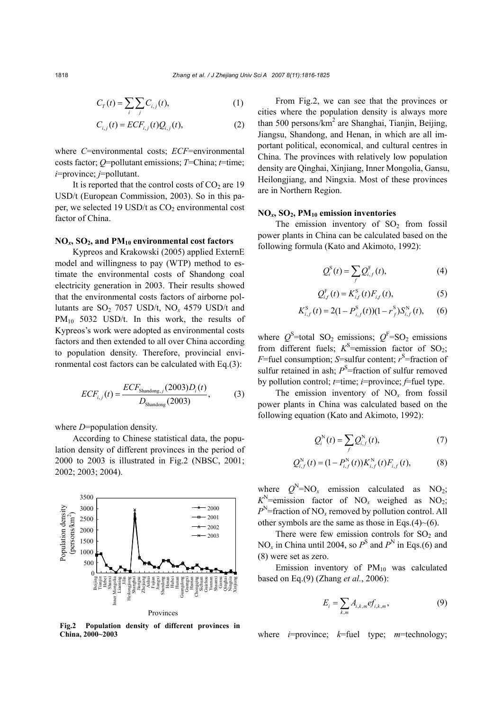$$
C_T(t) = \sum_i \sum_j C_{i,j}(t),\tag{1}
$$

$$
C_{i,j}(t) = ECF_{i,j}(t)Q_{i,j}(t),
$$
\n(2)

where *C*=environmental costs; *ECF*=environmental costs factor; *Q*=pollutant emissions; *T*=China; *t*=time; *i*=province; *j*=pollutant.

It is reported that the control costs of  $CO<sub>2</sub>$  are 19 USD/t (European Commission, 2003). So in this paper, we selected 19 USD/t as  $CO<sub>2</sub>$  environmental cost factor of China.

#### $NO<sub>x</sub>$ ,  $SO<sub>2</sub>$ , and  $PM<sub>10</sub>$  environmental cost factors

Kypreos and Krakowski (2005) applied ExternE model and willingness to pay (WTP) method to estimate the environmental costs of Shandong coal electricity generation in 2003. Their results showed that the environmental costs factors of airborne pollutants are  $SO_2$  7057 USD/t,  $NO_x$  4579 USD/t and  $PM_{10}$  5032 USD/t. In this work, the results of Kypreos's work were adopted as environmental costs factors and then extended to all over China according to population density. Therefore, provincial environmental cost factors can be calculated with Eq.(3):

$$
ECF_{i,j}(t) = \frac{ECF_{\text{Shandong},j}(2003)D_i(t)}{D_{\text{Shandong}}(2003)},
$$
 (3)

where *D*=population density.

According to Chinese statistical data, the population density of different provinces in the period of 2000 to 2003 is illustrated in Fig.2 (NBSC, 2001; 2002; 2003; 2004).



**Fig.2 Population density of different provinces in China, 2000~2003** 

From Fig.2, we can see that the provinces or cities where the population density is always more than 500 persons/ $km^2$  are Shanghai, Tianjin, Beijing, Jiangsu, Shandong, and Henan, in which are all important political, economical, and cultural centres in China. The provinces with relatively low population density are Qinghai, Xinjiang, Inner Mongolia, Gansu, Heilongjiang, and Ningxia. Most of these provinces are in Northern Region.

## **NO***x***, SO2, PM10 emission inventories**

The emission inventory of  $SO<sub>2</sub>$  from fossil power plants in China can be calculated based on the following formula (Kato and Akimoto, 1992):

$$
Q_i^{\rm S}(t) = \sum_f Q_{i,f}^{\rm F}(t),\tag{4}
$$

$$
Q_{i,f}^{\mathrm{F}}(t) = K_{i,f}^{\mathrm{S}}(t) F_{i,f}(t),
$$
 (5)

$$
K_{i,f}^{S}(t) = 2(1 - P_{i,f}^{S}(t))(1 - r_{f}^{S})S_{i,f}^{N}(t), \qquad (6)
$$

where  $Q^{\text{S}}$ =total SO<sub>2</sub> emissions;  $Q^{\text{F}}$ =SO<sub>2</sub> emissions from different fuels;  $K^S$ =emission factor of SO<sub>2</sub>; *F*=fuel consumption; *S*=sulfur content; *r* S =fraction of sulfur retained in ash;  $P^{\text{S}}$ =fraction of sulfur removed by pollution control; *t*=time; *i*=province; *f*=fuel type.

The emission inventory of NO*x* from fossil power plants in China was calculated based on the following equation (Kato and Akimoto, 1992):

$$
Q_i^N(t) = \sum_f Q_{i,f}^N(t), \qquad (7)
$$

$$
Q_{i,f}^{N}(t) = (1 - P_{i,f}^{N}(t))K_{i,f}^{N}(t)F_{i,f}(t),
$$
\n(8)

where  $Q^N=NO_x$  emission calculated as NO<sub>2</sub>;  $K^N$ =emission factor of NO<sub>x</sub> weighed as NO<sub>2</sub>;  $P<sup>N</sup>$ =fraction of NO<sub>x</sub> removed by pollution control. All other symbols are the same as those in Eqs.(4) $\sim$ (6).

There were few emission controls for  $SO<sub>2</sub>$  and NO<sub>x</sub> in China until 2004, so  $P^S$  and  $P^N$  in Eqs.(6) and (8) were set as zero.

Emission inventory of  $PM_{10}$  was calculated based on Eq.(9) (Zhang *et al.*, 2006):

$$
E_i = \sum_{k,m} A_{i,k,m} e f_{i,k,m}, \qquad (9)
$$

where *i*=province; *k*=fuel type; *m*=technology;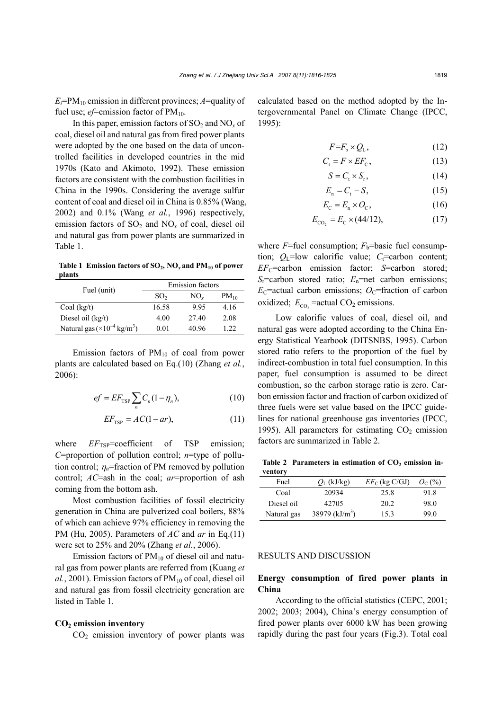$E_i$ =PM<sub>10</sub> emission in different provinces;  $A$ =quality of fuel use;  $e_f$ =emission factor of PM<sub>10</sub>.

In this paper, emission factors of  $SO_2$  and  $NO_x$  of coal, diesel oil and natural gas from fired power plants were adopted by the one based on the data of uncontrolled facilities in developed countries in the mid 1970s (Kato and Akimoto, 1992). These emission factors are consistent with the combustion facilities in China in the 1990s. Considering the average sulfur content of coal and diesel oil in China is 0.85% (Wang, 2002) and 0.1% (Wang *et al.*, 1996) respectively, emission factors of  $SO_2$  and  $NO_x$  of coal, diesel oil and natural gas from power plants are summarized in Table 1.

**Table 1 Emission factors of**  $SO_2$ **,**  $NO_x$  **and**  $PM_{10}$  **of power plants** 

| Fuel (unit)                                   | <b>Emission</b> factors |       |           |
|-----------------------------------------------|-------------------------|-------|-----------|
|                                               | SO <sub>2</sub>         | NO.   | $PM_{10}$ |
| $\text{Coal}(\text{kg}/t)$                    | 16.58                   | 995   | 4.16      |
| Diesel oil $(kg/t)$                           | 4.00                    | 27.40 | 2.08      |
| Natural gas $(\times 10^{-4} \text{ kg/m}^3)$ | 0.01                    | 40.96 | 1 22      |

Emission factors of  $PM_{10}$  of coal from power plants are calculated based on Eq.(10) (Zhang *et al.*, 2006):

$$
ef = EF_{\text{TSP}} \sum_{n} C_n (1 - \eta_n), \tag{10}
$$

$$
EF_{\rm TSP} = AC(1 - ar),\tag{11}
$$

where *EF*<sub>TSP</sub>=coefficient of TSP emission; *C*=proportion of pollution control; *n*=type of pollution control;  $\eta_n$ =fraction of PM removed by pollution control; *AC*=ash in the coal; *ar*=proportion of ash coming from the bottom ash.

Most combustion facilities of fossil electricity generation in China are pulverized coal boilers, 88% of which can achieve 97% efficiency in removing the PM (Hu, 2005). Parameters of *AC* and *ar* in Eq.(11) were set to 25% and 20% (Zhang *et al.*, 2006).

Emission factors of  $PM_{10}$  of diesel oil and natural gas from power plants are referred from (Kuang *et*   $al.$ , 2001). Emission factors of  $PM<sub>10</sub>$  of coal, diesel oil and natural gas from fossil electricity generation are listed in Table 1.

#### **CO2 emission inventory**

 $CO<sub>2</sub>$  emission inventory of power plants was

calculated based on the method adopted by the Intergovernmental Panel on Climate Change (IPCC, 1995):

$$
F = F_{\rm b} \times Q_{\rm L},\tag{12}
$$

$$
C_{t} = F \times EF_{C}, \qquad (13)
$$

$$
S = C_{t} \times S_{r}, \qquad (14)
$$

$$
E_{n} = C_{t} - S, \qquad (15)
$$

$$
E_{\rm C} = E_{\rm n} \times O_{\rm C},\tag{16}
$$

$$
E_{\text{CO}_2} = E_{\text{C}} \times (44/12),\tag{17}
$$

where  $F$ =fuel consumption;  $F<sub>b</sub>$ =basic fuel consumption;  $Q_L$ =low calorific value;  $C_t$ =carbon content; *EF*<sub>C</sub>=carbon emission factor; *S*=carbon stored;  $S_r$ =carbon stored ratio;  $E_n$ =net carbon emissions;  $E_{\rm C}$ =actual carbon emissions;  $O_{\rm C}$ =fraction of carbon oxidized;  $E_{CO_2}$  =actual CO<sub>2</sub> emissions.

Low calorific values of coal, diesel oil, and natural gas were adopted according to the China Energy Statistical Yearbook (DITSNBS, 1995). Carbon stored ratio refers to the proportion of the fuel by indirect-combustion in total fuel consumption. In this paper, fuel consumption is assumed to be direct combustion, so the carbon storage ratio is zero. Carbon emission factor and fraction of carbon oxidized of three fuels were set value based on the IPCC guidelines for national greenhouse gas inventories (IPCC, 1995). All parameters for estimating  $CO<sub>2</sub>$  emission factors are summarized in Table 2.

Table 2 Parameters in estimation of CO<sub>2</sub> emission in**ventory**

| Fuel        | $Q_L$ (kJ/kg)      | $EF_C$ (kg C/GJ) | $O_{C}$ (%) |
|-------------|--------------------|------------------|-------------|
| Coal        | 20934              | 25.8             | 91.8        |
| Diesel oil  | 42705              | 20 2             | 98.0        |
| Natural gas | 38979 ( $kJ/m^3$ ) | 15.3             | 99.0        |

#### RESULTS AND DISCUSSION

# **Energy consumption of fired power plants in China**

According to the official statistics (CEPC, 2001; 2002; 2003; 2004), China's energy consumption of fired power plants over 6000 kW has been growing rapidly during the past four years (Fig.3). Total coal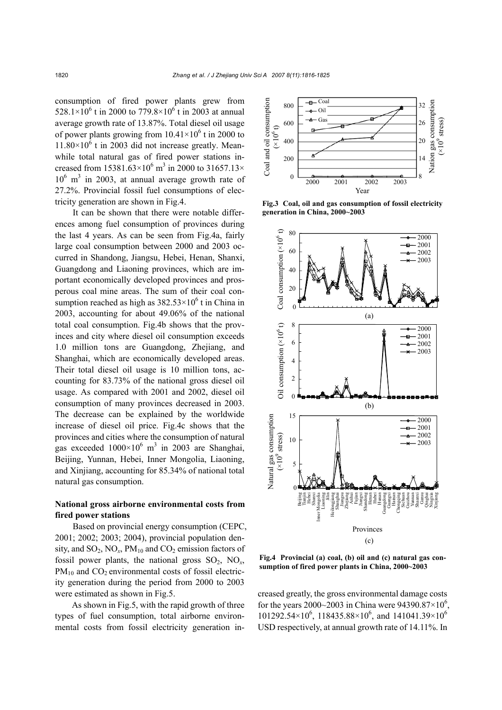consumption of fired power plants grew from 528.1×10<sup>6</sup> t in 2000 to 779.8×10<sup>6</sup> t in 2003 at annual average growth rate of 13.87%. Total diesel oil usage of power plants growing from  $10.41 \times 10^6$  t in 2000 to  $11.80\times10^{6}$  t in 2003 did not increase greatly. Meanwhile total natural gas of fired power stations increased from  $15381.63 \times 10^6$  m<sup>3</sup> in 2000 to 31657.13 $\times$  $10^6$  m<sup>3</sup> in 2003, at annual average growth rate of 27.2%. Provincial fossil fuel consumptions of electricity generation are shown in Fig.4.

It can be shown that there were notable differences among fuel consumption of provinces during the last 4 years. As can be seen from Fig.4a, fairly large coal consumption between 2000 and 2003 occurred in Shandong, Jiangsu, Hebei, Henan, Shanxi, Guangdong and Liaoning provinces, which are important economically developed provinces and prosperous coal mine areas. The sum of their coal consumption reached as high as  $382.53 \times 10^6$  t in China in 2003, accounting for about 49.06% of the national total coal consumption. Fig.4b shows that the provinces and city where diesel oil consumption exceeds 1.0 million tons are Guangdong, Zhejiang, and Shanghai, which are economically developed areas. Their total diesel oil usage is 10 million tons, accounting for 83.73% of the national gross diesel oil usage. As compared with 2001 and 2002, diesel oil consumption of many provinces decreased in 2003. The decrease can be explained by the worldwide increase of diesel oil price. Fig.4c shows that the provinces and cities where the consumption of natural gas exceeded  $1000\times10^{6}$  m<sup>3</sup> in 2003 are Shanghai, Beijing, Yunnan, Hebei, Inner Mongolia, Liaoning, and Xinjiang, accounting for 85.34% of national total natural gas consumption.

## **National gross airborne environmental costs from fired power stations**

Based on provincial energy consumption (CEPC, 2001; 2002; 2003; 2004), provincial population density, and  $SO_2$ ,  $NO_x$ ,  $PM_{10}$  and  $CO_2$  emission factors of fossil power plants, the national gross  $SO_2$ ,  $NO<sub>x</sub>$ ,  $PM_{10}$  and  $CO_2$  environmental costs of fossil electricity generation during the period from 2000 to 2003 were estimated as shown in Fig.5.

As shown in Fig.5, with the rapid growth of three types of fuel consumption, total airborne environmental costs from fossil electricity generation in-



**Fig.3 Coal, oil and gas consumption of fossil electricity generation in China, 2000~2003**



**Fig.4 Provincial (a) coal, (b) oil and (c) natural gas consumption of fired power plants in China, 2000~2003**

creased greatly, the gross environmental damage costs for the years 2000~2003 in China were 94390.87 $\times$ 10<sup>6</sup>,  $101292.54\times10^6$ ,  $118435.88\times10^6$ , and  $141041.39\times10^6$ USD respectively, at annual growth rate of 14.11%. In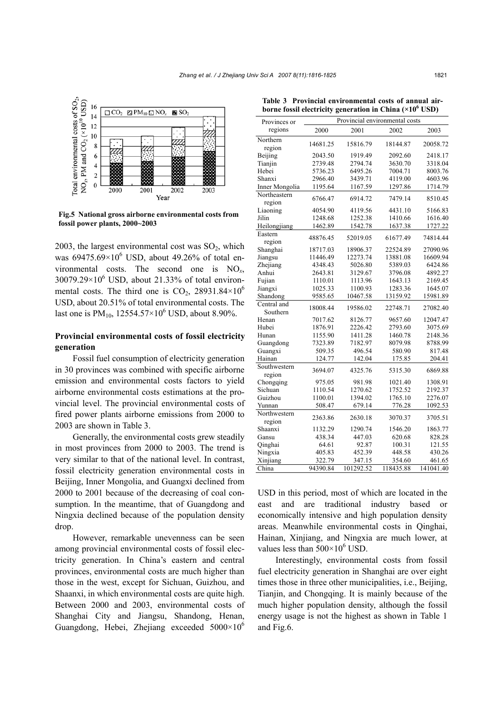

**Fig.5 National gross airborne environmental costs from fossil power plants, 2000~2003**

2003, the largest environmental cost was  $SO<sub>2</sub>$ , which was  $69475.69\times10^{6}$  USD, about 49.26% of total environmental costs. The second one is NO*x*,  $30079.29 \times 10^6$  USD, about 21.33% of total environmental costs. The third one is  $CO<sub>2</sub>$ , 28931.84 $\times$ 10<sup>6</sup> USD, about 20.51% of total environmental costs. The last one is  $PM_{10}$ , 12554.57×10<sup>6</sup> USD, about 8.90%.

# **Provincial environmental costs of fossil electricity generation**

Fossil fuel consumption of electricity generation in 30 provinces was combined with specific airborne emission and environmental costs factors to yield airborne environmental costs estimations at the provincial level. The provincial environmental costs of fired power plants airborne emissions from 2000 to 2003 are shown in Table 3.

Generally, the environmental costs grew steadily in most provinces from 2000 to 2003. The trend is very similar to that of the national level. In contrast, fossil electricity generation environmental costs in Beijing, Inner Mongolia, and Guangxi declined from 2000 to 2001 because of the decreasing of coal consumption. In the meantime, that of Guangdong and Ningxia declined because of the population density drop.

However, remarkable unevenness can be seen among provincial environmental costs of fossil electricity generation. In China's eastern and central provinces, environmental costs are much higher than those in the west, except for Sichuan, Guizhou, and Shaanxi, in which environmental costs are quite high. Between 2000 and 2003, environmental costs of Shanghai City and Jiangsu, Shandong, Henan, Guangdong, Hebei, Zhejiang exceeded  $5000\times10^{6}$ 

| Provinces or            |          | Provincial environmental costs |           |           |  |  |
|-------------------------|----------|--------------------------------|-----------|-----------|--|--|
| regions                 | 2000     | 2001                           | 2002      | 2003      |  |  |
| Northern<br>region      | 14681.25 | 15816.79                       | 18144.87  | 20058.72  |  |  |
| Beijing                 | 2043.50  | 1919.49                        | 2092.60   | 2418.17   |  |  |
| Tianjin                 | 2739.48  | 2794.74                        | 3630.70   | 3318.04   |  |  |
| Hebei                   | 5736.23  | 6495.26                        | 7004.71   | 8003.76   |  |  |
| Shanxi                  | 2966.40  | 3439.71                        | 4119.00   | 4603.96   |  |  |
| Inner Mongolia          | 1195.64  | 1167.59                        | 1297.86   | 1714.79   |  |  |
| Northeastern<br>region  | 6766.47  | 6914.72                        | 7479.14   | 8510.45   |  |  |
| Liaoning                | 4054.90  | 4119.56                        | 4431.10   | 5166.83   |  |  |
| Jilin                   | 1248.68  | 1252.38                        | 1410.66   | 1616.40   |  |  |
| Heilongjiang            | 1462.89  | 1542.78                        | 1637.38   | 1727.22   |  |  |
| Eastern<br>region       | 48876.45 | 52019.05                       | 61677.49  | 74814.44  |  |  |
| Shanghai                | 18717.03 | 18906.37                       | 22524.89  | 27090.96  |  |  |
| Jiangsu                 | 11446.49 | 12273.74                       | 13881.08  | 16609.94  |  |  |
| Zhejiang                | 4348.43  | 5026.80                        | 5389.03   | 6424.86   |  |  |
| Anhui                   | 2643.81  | 3129.67                        | 3796.08   | 4892.27   |  |  |
| Fujian                  | 1110.01  | 1113.96                        | 1643.13   | 2169.45   |  |  |
| Jiangxi                 | 1025.33  | 1100.93                        | 1283.36   | 1645.07   |  |  |
| Shandong                | 9585.65  | 10467.58                       | 13159.92  | 15981.89  |  |  |
| Central and<br>Southern | 18008.44 | 19586.02                       | 22748.71  | 27082.40  |  |  |
| Henan                   | 7017.62  | 8126.77                        | 9657.60   | 12047.47  |  |  |
| Hubei                   | 1876.91  | 2226.42                        | 2793.60   | 3075.69   |  |  |
| Hunan                   | 1155.90  | 1411.28                        | 1460.78   | 2148.36   |  |  |
| Guangdong               | 7323.89  | 7182.97                        | 8079.98   | 8788.99   |  |  |
| Guangxi                 | 509.35   | 496.54                         | 580.90    | 817.48    |  |  |
| Hainan                  | 124.77   | 142.04                         | 175.85    | 204.41    |  |  |
| Southwestern<br>region  | 3694.07  | 4325.76                        | 5315.30   | 6869.88   |  |  |
| Chongqing               | 975.05   | 981.98                         | 1021.40   | 1308.91   |  |  |
| Sichuan                 | 1110.54  | 1270.62                        | 1752.52   | 2192.37   |  |  |
| Guizhou                 | 1100.01  | 1394.02                        | 1765.10   | 2276.07   |  |  |
| Yunnan                  | 508.47   | 679.14                         | 776.28    | 1092.53   |  |  |
| Northwestern<br>region  | 2363.86  | 2630.18                        | 3070.37   | 3705.51   |  |  |
| Shaanxi                 | 1132.29  | 1290.74                        | 1546.20   | 1863.77   |  |  |
| Gansu                   | 438.34   | 447.03                         | 620.68    | 828.28    |  |  |
| Qinghai                 | 64.61    | 92.87                          | 100.31    | 121.55    |  |  |
| Ningxia                 | 405.83   | 452.39                         | 448.58    | 430.26    |  |  |
| Xinjiang                | 322.79   | 347.15                         | 354.60    | 461.65    |  |  |
| China                   | 94390.84 | 101292.52                      | 118435.88 | 141041.40 |  |  |

USD in this period, most of which are located in the east and are traditional industry based or economically intensive and high population density areas. Meanwhile environmental costs in Qinghai, Hainan, Xinjiang, and Ningxia are much lower, at values less than  $500 \times 10^6$  USD.

Interestingly, environmental costs from fossil fuel electricity generation in Shanghai are over eight times those in three other municipalities, i.e., Beijing, Tianjin, and Chongqing. It is mainly because of the much higher population density, although the fossil energy usage is not the highest as shown in Table 1 and Fig.6.

**Table 3 Provincial environmental costs of annual airborne fossil electricity generation in China (×106 USD)**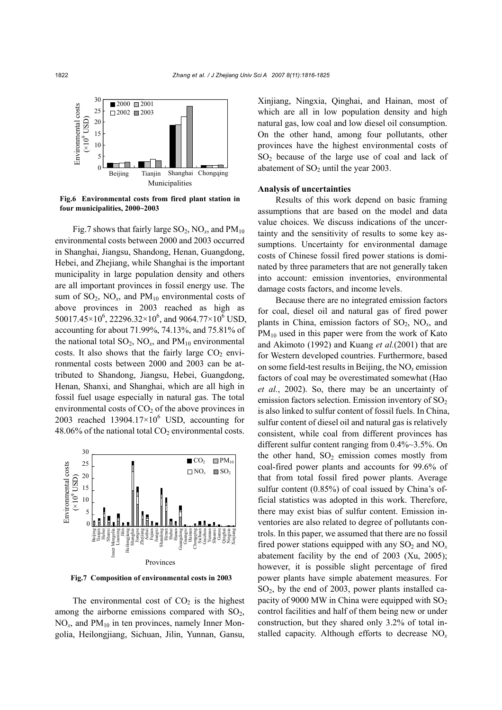

**Fig.6 Environmental costs from fired plant station in four municipalities, 2000~2003**

Fig.7 shows that fairly large  $SO_2$ ,  $NO_x$ , and  $PM_{10}$ environmental costs between 2000 and 2003 occurred in Shanghai, Jiangsu, Shandong, Henan, Guangdong, Hebei, and Zhejiang, while Shanghai is the important municipality in large population density and others are all important provinces in fossil energy use. The sum of  $SO_2$ ,  $NO_x$ , and  $PM_{10}$  environmental costs of above provinces in 2003 reached as high as 50017.45×10<sup>6</sup>, 22296.32×10<sup>6</sup>, and 9064.77×10<sup>6</sup> USD, accounting for about 71.99%, 74.13%, and 75.81% of the national total  $SO_2$ ,  $NO_x$ , and  $PM_{10}$  environmental costs. It also shows that the fairly large  $CO<sub>2</sub>$  environmental costs between 2000 and 2003 can be attributed to Shandong, Jiangsu, Hebei, Guangdong, Henan, Shanxi, and Shanghai, which are all high in fossil fuel usage especially in natural gas. The total environmental costs of  $CO<sub>2</sub>$  of the above provinces in 2003 reached  $13904.17 \times 10^6$  USD, accounting for 48.06% of the national total  $CO<sub>2</sub>$  environmental costs.



**Fig.7 Composition of environmental costs in 2003**

The environmental cost of  $CO<sub>2</sub>$  is the highest among the airborne emissions compared with  $SO<sub>2</sub>$ ,  $NO<sub>x</sub>$ , and  $PM<sub>10</sub>$  in ten provinces, namely Inner Mongolia, Heilongjiang, Sichuan, Jilin, Yunnan, Gansu, Xinjiang, Ningxia, Qinghai, and Hainan, most of which are all in low population density and high natural gas, low coal and low diesel oil consumption. On the other hand, among four pollutants, other provinces have the highest environmental costs of  $SO<sub>2</sub>$  because of the large use of coal and lack of abatement of  $SO<sub>2</sub>$  until the year 2003.

#### **Analysis of uncertainties**

Results of this work depend on basic framing assumptions that are based on the model and data value choices. We discuss indications of the uncertainty and the sensitivity of results to some key assumptions. Uncertainty for environmental damage costs of Chinese fossil fired power stations is dominated by three parameters that are not generally taken into account: emission inventories, environmental damage costs factors, and income levels.

Because there are no integrated emission factors for coal, diesel oil and natural gas of fired power plants in China, emission factors of  $SO_2$ ,  $NO_x$ , and  $PM_{10}$  used in this paper were from the work of Kato and Akimoto (1992) and Kuang *et al.*(2001) that are for Western developed countries. Furthermore, based on some field-test results in Beijing, the NO*x* emission factors of coal may be overestimated somewhat (Hao *et al.*, 2002). So, there may be an uncertainty of emission factors selection. Emission inventory of  $SO<sub>2</sub>$ is also linked to sulfur content of fossil fuels. In China, sulfur content of diesel oil and natural gas is relatively consistent, while coal from different provinces has different sulfur content ranging from 0.4%~3.5%. On the other hand,  $SO<sub>2</sub>$  emission comes mostly from coal-fired power plants and accounts for 99.6% of that from total fossil fired power plants. Average sulfur content (0.85%) of coal issued by China's official statistics was adopted in this work. Therefore, there may exist bias of sulfur content. Emission inventories are also related to degree of pollutants controls. In this paper, we assumed that there are no fossil fired power stations equipped with any  $SO_2$  and  $NO_x$ abatement facility by the end of 2003 (Xu, 2005); however, it is possible slight percentage of fired power plants have simple abatement measures. For  $SO<sub>2</sub>$ , by the end of 2003, power plants installed capacity of 9000 MW in China were equipped with  $SO_2$ control facilities and half of them being new or under construction, but they shared only 3.2% of total installed capacity. Although efforts to decrease NO*<sup>x</sup>*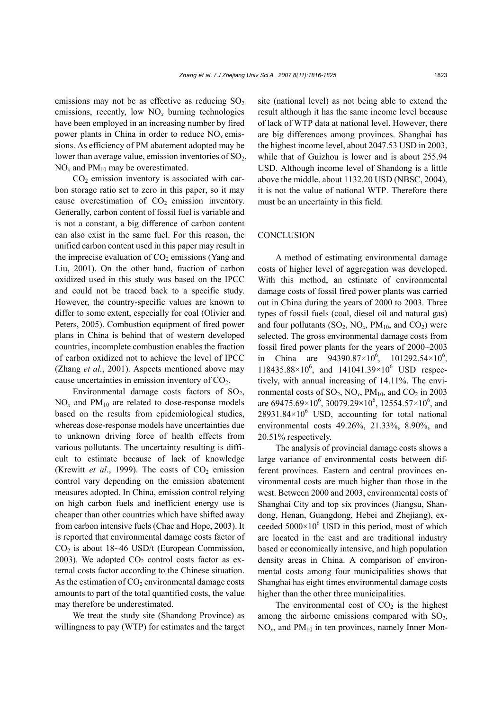emissions may not be as effective as reducing  $SO<sub>2</sub>$ emissions, recently, low  $NO<sub>x</sub>$  burning technologies have been employed in an increasing number by fired power plants in China in order to reduce NO*<sup>x</sup>* emissions. As efficiency of PM abatement adopted may be lower than average value, emission inventories of  $SO<sub>2</sub>$ ,  $NO<sub>x</sub>$  and  $PM<sub>10</sub>$  may be overestimated.

 $CO<sub>2</sub>$  emission inventory is associated with carbon storage ratio set to zero in this paper, so it may cause overestimation of  $CO<sub>2</sub>$  emission inventory. Generally, carbon content of fossil fuel is variable and is not a constant, a big difference of carbon content can also exist in the same fuel. For this reason, the unified carbon content used in this paper may result in the imprecise evaluation of  $CO<sub>2</sub>$  emissions (Yang and Liu, 2001). On the other hand, fraction of carbon oxidized used in this study was based on the IPCC and could not be traced back to a specific study. However, the country-specific values are known to differ to some extent, especially for coal (Olivier and Peters, 2005). Combustion equipment of fired power plans in China is behind that of western developed countries, incomplete combustion enables the fraction of carbon oxidized not to achieve the level of IPCC (Zhang *et al.*, 2001). Aspects mentioned above may cause uncertainties in emission inventory of  $CO<sub>2</sub>$ .

Environmental damage costs factors of SO<sub>2</sub>,  $NO<sub>x</sub>$  and  $PM<sub>10</sub>$  are related to dose-response models based on the results from epidemiological studies, whereas dose-response models have uncertainties due to unknown driving force of health effects from various pollutants. The uncertainty resulting is difficult to estimate because of lack of knowledge (Krewitt *et al.*, 1999). The costs of  $CO<sub>2</sub>$  emission control vary depending on the emission abatement measures adopted. In China, emission control relying on high carbon fuels and inefficient energy use is cheaper than other countries which have shifted away from carbon intensive fuels (Chae and Hope, 2003). It is reported that environmental damage costs factor of  $CO<sub>2</sub>$  is about 18~46 USD/t (European Commission, 2003). We adopted  $CO<sub>2</sub>$  control costs factor as external costs factor according to the Chinese situation. As the estimation of  $CO<sub>2</sub>$  environmental damage costs amounts to part of the total quantified costs, the value may therefore be underestimated.

We treat the study site (Shandong Province) as willingness to pay (WTP) for estimates and the target site (national level) as not being able to extend the result although it has the same income level because of lack of WTP data at national level. However, there are big differences among provinces. Shanghai has the highest income level, about 2047.53 USD in 2003, while that of Guizhou is lower and is about 255.94 USD. Although income level of Shandong is a little above the middle, about 1132.20 USD (NBSC, 2004), it is not the value of national WTP. Therefore there must be an uncertainty in this field.

#### **CONCLUSION**

A method of estimating environmental damage costs of higher level of aggregation was developed. With this method, an estimate of environmental damage costs of fossil fired power plants was carried out in China during the years of 2000 to 2003. Three types of fossil fuels (coal, diesel oil and natural gas) and four pollutants  $(SO_2, NO_x, PM_{10}, and CO_2)$  were selected. The gross environmental damage costs from fossil fired power plants for the years of 2000~2003 in China are  $94390.87 \times 10^6$ ,  $101292.54 \times 10^6$ ,  $118435.88\times10^6$ , and  $141041.39\times10^6$  USD respectively, with annual increasing of 14.11%. The environmental costs of  $SO_2$ ,  $NO_x$ ,  $PM_{10}$ , and  $CO_2$  in 2003 are 69475.69×10<sup>6</sup>, 30079.29×10<sup>6</sup>, 12554.57×10<sup>6</sup>, and  $28931.84\times10^{6}$  USD, accounting for total national environmental costs 49.26%, 21.33%, 8.90%, and 20.51% respectively.

The analysis of provincial damage costs shows a large variance of environmental costs between different provinces. Eastern and central provinces environmental costs are much higher than those in the west. Between 2000 and 2003, environmental costs of Shanghai City and top six provinces (Jiangsu, Shandong, Henan, Guangdong, Hebei and Zhejiang), exceeded  $5000 \times 10^6$  USD in this period, most of which are located in the east and are traditional industry based or economically intensive, and high population density areas in China. A comparison of environmental costs among four municipalities shows that Shanghai has eight times environmental damage costs higher than the other three municipalities.

The environmental cost of  $CO<sub>2</sub>$  is the highest among the airborne emissions compared with  $SO<sub>2</sub>$ ,  $NO<sub>x</sub>$ , and  $PM<sub>10</sub>$  in ten provinces, namely Inner Mon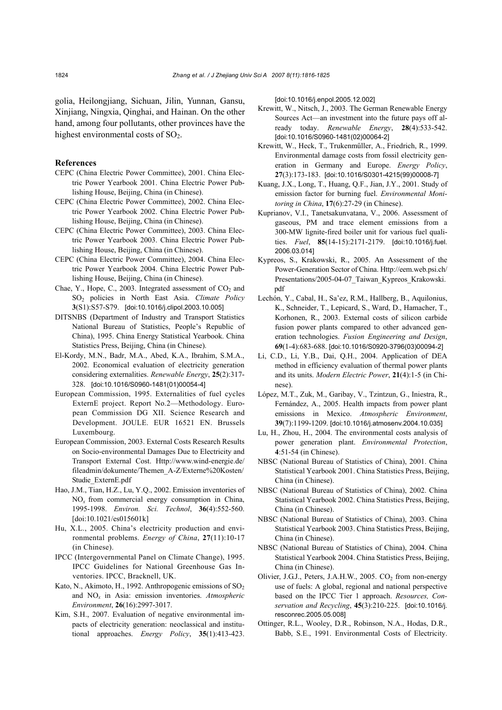golia, Heilongjiang, Sichuan, Jilin, Yunnan, Gansu, Xinjiang, Ningxia, Qinghai, and Hainan. On the other hand, among four pollutants, other provinces have the highest environmental costs of  $SO<sub>2</sub>$ .

### **References**

- CEPC (China Electric Power Committee), 2001. China Electric Power Yearbook 2001. China Electric Power Publishing House, Beijing, China (in Chinese).
- CEPC (China Electric Power Committee), 2002. China Electric Power Yearbook 2002. China Electric Power Publishing House, Beijing, China (in Chinese).
- CEPC (China Electric Power Committee), 2003. China Electric Power Yearbook 2003. China Electric Power Publishing House, Beijing, China (in Chinese).
- CEPC (China Electric Power Committee), 2004. China Electric Power Yearbook 2004. China Electric Power Publishing House, Beijing, China (in Chinese).
- Chae, Y., Hope, C., 2003. Integrated assessment of  $CO<sub>2</sub>$  and SO2 policies in North East Asia. *Climate Policy* **3**(S1):S57-S79. [doi:10.1016/j.clipol.2003.10.005]
- DITSNBS (Department of Industry and Transport Statistics National Bureau of Statistics, People's Republic of China), 1995. China Energy Statistical Yearbook. China Statistics Press, Beijing, China (in Chinese).
- El-Kordy, M.N., Badr, M.A., Abed, K.A., Ibrahim, S.M.A., 2002. Economical evaluation of electricity generation considering externalities. *Renewable Energy*, **25**(2):317- 328. [doi:10.1016/S0960-1481(01)00054-4]
- European Commission, 1995. Externalities of fuel cycles ExternE project. Report No.2—Methodology. European Commission DG XII. Science Research and Development. JOULE. EUR 16521 EN. Brussels Luxembourg.
- European Commission, 2003. External Costs Research Results on Socio-environmental Damages Due to Electricity and Transport External Cost. Http://www.wind-energie.de/ fileadmin/dokumente/Themen\_A-Z/Externe%20Kosten/ Studie\_ExternE.pdf
- Hao, J.M., Tian, H.Z., Lu, Y.Q., 2002. Emission inventories of NO*<sup>x</sup>* from commercial energy consumption in China, 1995-1998. *Environ. Sci. Technol*, **36**(4):552-560. [doi:10.1021/es015601k]
- Hu, X.L., 2005. China's electricity production and environmental problems. *Energy of China*, **27**(11):10-17 (in Chinese).
- IPCC (Intergovernmental Panel on Climate Change), 1995. IPCC Guidelines for National Greenhouse Gas Inventories. IPCC, Bracknell, UK.
- Kato, N., Akimoto, H., 1992. Anthropogenic emissions of  $SO_2$ and NO*x* in Asia: emission inventories. *Atmospheric Environment*, **26**(16):2997-3017.
- Kim, S.H., 2007. Evaluation of negative environmental impacts of electricity generation: neoclassical and institutional approaches. *Energy Policy*, **35**(1):413-423.

[doi:10.1016/j.enpol.2005.12.002]

- Krewitt, W., Nitsch, J., 2003. The German Renewable Energy Sources Act—an investment into the future pays off already today. *Renewable Energy*, **28**(4):533-542. [doi:10.1016/S0960-1481(02)00064-2]
- Krewitt, W., Heck, T., Trukenműller, A., Friedrich, R., 1999. Environmental damage costs from fossil electricity generation in Germany and Europe. *Energy Policy*, **27**(3):173-183. [doi:10.1016/S0301-4215(99)00008-7]
- Kuang, J.X., Long, T., Huang, Q.F., Jian, J.Y., 2001. Study of emission factor for burning fuel. *Environmental Monitoring in China*, **17**(6):27-29 (in Chinese).
- Kuprianov, V.I., Tanetsakunvatana, V., 2006. Assessment of gaseous, PM and trace element emissions from a 300-MW lignite-fired boiler unit for various fuel qualities. *Fuel*, **85**(14-15):2171-2179. [doi:10.1016/j.fuel. 2006.03.014]
- Kypreos, S., Krakowski, R., 2005. An Assessment of the Power-Generation Sector of China. Http://eem.web.psi.ch/ Presentations/2005-04-07\_Taiwan\_Kypreos\_Krakowski. pdf
- Lechón, Y., Cabal, H., Sa'ez, R.M., Hallberg, B., Aquilonius, K., Schneider, T., Lepicard, S., Ward, D., Hamacher, T., Korhonen, R., 2003. External costs of silicon carbide fusion power plants compared to other advanced generation technologies. *Fusion Engineering and Design*, **69**(1-4):683-688. [doi:10.1016/S0920-3796(03)00094-2]
- Li, C.D., Li, Y.B., Dai, Q.H., 2004. Application of DEA method in efficiency evaluation of thermal power plants and its units. *Modern Electric Power*, **21**(4):1-5 (in Chinese).
- López, M.T., Zuk, M., Garibay, V., Tzintzun, G., Iniestra, R., Fernández, A., 2005. Health impacts from power plant emissions in Mexico. *Atmospheric Environment*, **39**(7):1199-1209. [doi:10.1016/j.atmosenv.2004.10.035]
- Lu, H., Zhou, H., 2004. The environmental costs analysis of power generation plant. *Environmental Protection*, **4**:51-54 (in Chinese).
- NBSC (National Bureau of Statistics of China), 2001. China Statistical Yearbook 2001. China Statistics Press, Beijing, China (in Chinese).
- NBSC (National Bureau of Statistics of China), 2002. China Statistical Yearbook 2002. China Statistics Press, Beijing, China (in Chinese).
- NBSC (National Bureau of Statistics of China), 2003. China Statistical Yearbook 2003. China Statistics Press, Beijing, China (in Chinese).
- NBSC (National Bureau of Statistics of China), 2004. China Statistical Yearbook 2004. China Statistics Press, Beijing, China (in Chinese).
- Olivier, J.G.J., Peters, J.A.H.W., 2005.  $CO<sub>2</sub>$  from non-energy use of fuels: A global, regional and national perspective based on the IPCC Tier 1 approach. *Resources, Conservation and Recycling*, **45**(3):210-225. [doi:10.1016/j. resconrec.2005.05.008]
- Ottinger, R.L., Wooley, D.R., Robinson, N.A., Hodas, D.R., Babb, S.E., 1991. Environmental Costs of Electricity.